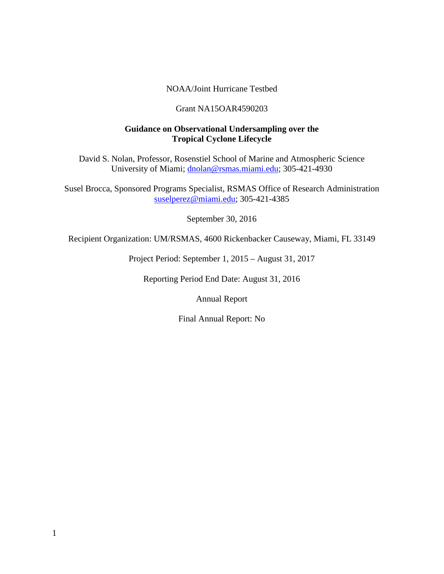### NOAA/Joint Hurricane Testbed

#### Grant NA15OAR4590203

### **Guidance on Observational Undersampling over the Tropical Cyclone Lifecycle**

David S. Nolan, Professor, Rosenstiel School of Marine and Atmospheric Science University of Miami; [dnolan@rsmas.miami.edu;](mailto:dnolan@rsmas.miami.edu) 305-421-4930

Susel Brocca, Sponsored Programs Specialist, RSMAS Office of Research Administration [suselperez@miami.edu;](mailto:suselperez@miami.edu) 305-421-4385

September 30, 2016

Recipient Organization: UM/RSMAS, 4600 Rickenbacker Causeway, Miami, FL 33149

Project Period: September 1, 2015 – August 31, 2017

Reporting Period End Date: August 31, 2016

Annual Report

Final Annual Report: No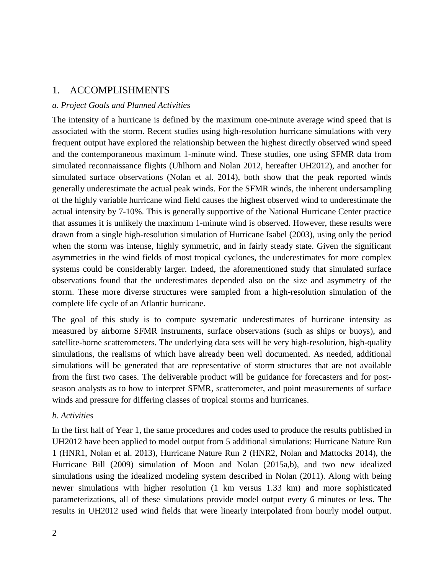## 1. ACCOMPLISHMENTS

### *a. Project Goals and Planned Activities*

The intensity of a hurricane is defined by the maximum one-minute average wind speed that is associated with the storm. Recent studies using high-resolution hurricane simulations with very frequent output have explored the relationship between the highest directly observed wind speed and the contemporaneous maximum 1-minute wind. These studies, one using SFMR data from simulated reconnaissance flights (Uhlhorn and Nolan 2012, hereafter UH2012), and another for simulated surface observations (Nolan et al. 2014), both show that the peak reported winds generally underestimate the actual peak winds. For the SFMR winds, the inherent undersampling of the highly variable hurricane wind field causes the highest observed wind to underestimate the actual intensity by 7-10%. This is generally supportive of the National Hurricane Center practice that assumes it is unlikely the maximum 1-minute wind is observed. However, these results were drawn from a single high-resolution simulation of Hurricane Isabel (2003), using only the period when the storm was intense, highly symmetric, and in fairly steady state. Given the significant asymmetries in the wind fields of most tropical cyclones, the underestimates for more complex systems could be considerably larger. Indeed, the aforementioned study that simulated surface observations found that the underestimates depended also on the size and asymmetry of the storm. These more diverse structures were sampled from a high-resolution simulation of the complete life cycle of an Atlantic hurricane.

The goal of this study is to compute systematic underestimates of hurricane intensity as measured by airborne SFMR instruments, surface observations (such as ships or buoys), and satellite-borne scatterometers. The underlying data sets will be very high-resolution, high-quality simulations, the realisms of which have already been well documented. As needed, additional simulations will be generated that are representative of storm structures that are not available from the first two cases. The deliverable product will be guidance for forecasters and for postseason analysts as to how to interpret SFMR, scatterometer, and point measurements of surface winds and pressure for differing classes of tropical storms and hurricanes.

### *b. Activities*

In the first half of Year 1, the same procedures and codes used to produce the results published in UH2012 have been applied to model output from 5 additional simulations: Hurricane Nature Run 1 (HNR1, Nolan et al. 2013), Hurricane Nature Run 2 (HNR2, Nolan and Mattocks 2014), the Hurricane Bill (2009) simulation of Moon and Nolan (2015a,b), and two new idealized simulations using the idealized modeling system described in Nolan (2011). Along with being newer simulations with higher resolution (1 km versus 1.33 km) and more sophisticated parameterizations, all of these simulations provide model output every 6 minutes or less. The results in UH2012 used wind fields that were linearly interpolated from hourly model output.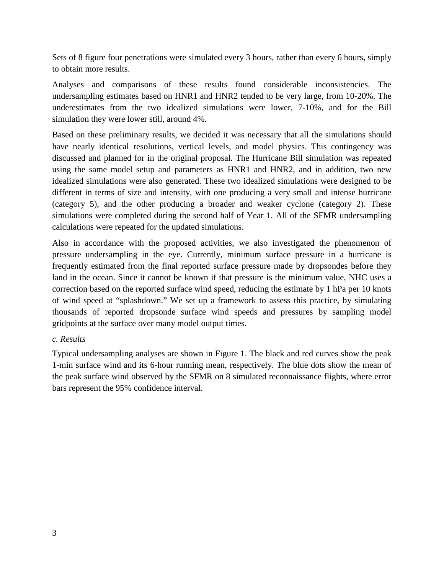Sets of 8 figure four penetrations were simulated every 3 hours, rather than every 6 hours, simply to obtain more results.

Analyses and comparisons of these results found considerable inconsistencies. The undersampling estimates based on HNR1 and HNR2 tended to be very large, from 10-20%. The underestimates from the two idealized simulations were lower, 7-10%, and for the Bill simulation they were lower still, around 4%.

Based on these preliminary results, we decided it was necessary that all the simulations should have nearly identical resolutions, vertical levels, and model physics. This contingency was discussed and planned for in the original proposal. The Hurricane Bill simulation was repeated using the same model setup and parameters as HNR1 and HNR2, and in addition, two new idealized simulations were also generated. These two idealized simulations were designed to be different in terms of size and intensity, with one producing a very small and intense hurricane (category 5), and the other producing a broader and weaker cyclone (category 2). These simulations were completed during the second half of Year 1. All of the SFMR undersampling calculations were repeated for the updated simulations.

Also in accordance with the proposed activities, we also investigated the phenomenon of pressure undersampling in the eye. Currently, minimum surface pressure in a hurricane is frequently estimated from the final reported surface pressure made by dropsondes before they land in the ocean. Since it cannot be known if that pressure is the minimum value, NHC uses a correction based on the reported surface wind speed, reducing the estimate by 1 hPa per 10 knots of wind speed at "splashdown." We set up a framework to assess this practice, by simulating thousands of reported dropsonde surface wind speeds and pressures by sampling model gridpoints at the surface over many model output times.

### *c. Results*

Typical undersampling analyses are shown in Figure 1. The black and red curves show the peak 1-min surface wind and its 6-hour running mean, respectively. The blue dots show the mean of the peak surface wind observed by the SFMR on 8 simulated reconnaissance flights, where error bars represent the 95% confidence interval.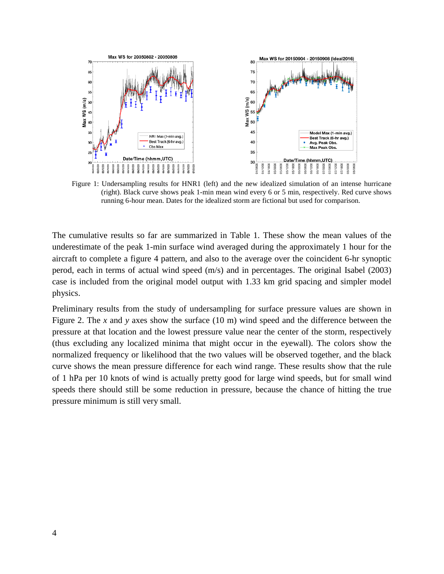

Figure 1: Undersampling results for HNR1 (left) and the new idealized simulation of an intense hurricane (right). Black curve shows peak 1-min mean wind every 6 or 5 min, respectively. Red curve shows running 6-hour mean. Dates for the idealized storm are fictional but used for comparison.

The cumulative results so far are summarized in Table 1. These show the mean values of the underestimate of the peak 1-min surface wind averaged during the approximately 1 hour for the aircraft to complete a figure 4 pattern, and also to the average over the coincident 6-hr synoptic perod, each in terms of actual wind speed (m/s) and in percentages. The original Isabel (2003) case is included from the original model output with 1.33 km grid spacing and simpler model physics.

Preliminary results from the study of undersampling for surface pressure values are shown in Figure 2. The *x* and *y* axes show the surface (10 m) wind speed and the difference between the pressure at that location and the lowest pressure value near the center of the storm, respectively (thus excluding any localized minima that might occur in the eyewall). The colors show the normalized frequency or likelihood that the two values will be observed together, and the black curve shows the mean pressure difference for each wind range. These results show that the rule of 1 hPa per 10 knots of wind is actually pretty good for large wind speeds, but for small wind speeds there should still be some reduction in pressure, because the chance of hitting the true pressure minimum is still very small.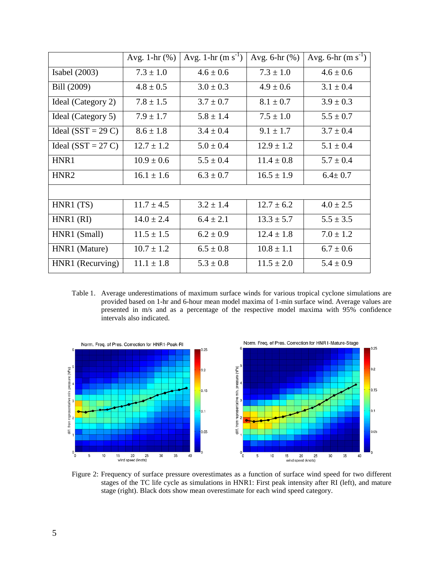|                      | Avg. 1- $hr$ $(\%)$ | Avg. 1-hr $(m s^{-1})$ | Avg. $6-hr$ $%$ ) | Avg. 6-hr $(m s^{-1})$ |
|----------------------|---------------------|------------------------|-------------------|------------------------|
| Isabel $(2003)$      | $7.3 \pm 1.0$       | $4.6 \pm 0.6$          | $7.3 \pm 1.0$     | $4.6 \pm 0.6$          |
| Bill (2009)          | $4.8 \pm 0.5$       | $3.0 \pm 0.3$          | $4.9 \pm 0.6$     | $3.1 \pm 0.4$          |
| Ideal (Category 2)   | $7.8 \pm 1.5$       | $3.7 \pm 0.7$          | $8.1 \pm 0.7$     | $3.9 \pm 0.3$          |
| Ideal (Category 5)   | $7.9 \pm 1.7$       | $5.8 \pm 1.4$          | $7.5 \pm 1.0$     | $5.5 \pm 0.7$          |
| Ideal $(SST = 29 C)$ | $8.6 \pm 1.8$       | $3.4 \pm 0.4$          | $9.1 \pm 1.7$     | $3.7 \pm 0.4$          |
| Ideal $(SST = 27 C)$ | $12.7 \pm 1.2$      | $5.0 \pm 0.4$          | $12.9 \pm 1.2$    | $5.1 \pm 0.4$          |
| HNR1                 | $10.9 \pm 0.6$      | $5.5 \pm 0.4$          | $11.4 \pm 0.8$    | $5.7 \pm 0.4$          |
| HNR <sub>2</sub>     | $16.1 \pm 1.6$      | $6.3 \pm 0.7$          | $16.5 \pm 1.9$    | $6.4 \pm 0.7$          |
|                      |                     |                        |                   |                        |
| HNR1(TS)             | $11.7 \pm 4.5$      | $3.2 \pm 1.4$          | $12.7 \pm 6.2$    | $4.0 \pm 2.5$          |
| $HNR1$ (RI)          | $14.0 \pm 2.4$      | $6.4 \pm 2.1$          | $13.3 \pm 5.7$    | $5.5 \pm 3.5$          |
| HNR1 (Small)         | $11.5 \pm 1.5$      | $6.2 \pm 0.9$          | $12.4 \pm 1.8$    | $7.0 \pm 1.2$          |
| HNR1 (Mature)        | $10.7 \pm 1.2$      | $6.5 \pm 0.8$          | $10.8 \pm 1.1$    | $6.7 \pm 0.6$          |
| HNR1 (Recurving)     | $11.1 \pm 1.8$      | $5.3 \pm 0.8$          | $11.5 \pm 2.0$    | $5.4 \pm 0.9$          |

Table 1. Average underestimations of maximum surface winds for various tropical cyclone simulations are provided based on 1-hr and 6-hour mean model maxima of 1-min surface wind. Average values are presented in m/s and as a percentage of the respective model maxima with 95% confidence intervals also indicated.



Figure 2: Frequency of surface pressure overestimates as a function of surface wind speed for two different stages of the TC life cycle as simulations in HNR1: First peak intensity after RI (left), and mature stage (right). Black dots show mean overestimate for each wind speed category.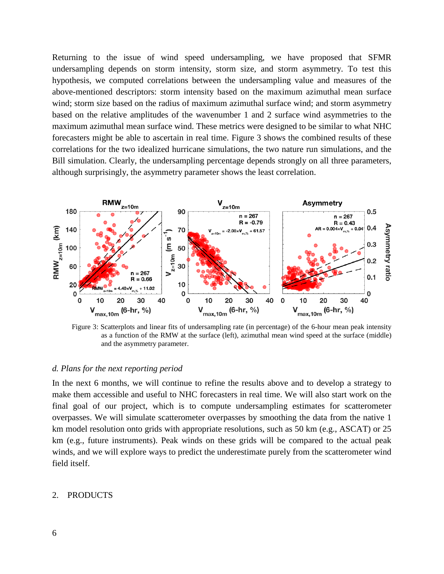Returning to the issue of wind speed undersampling, we have proposed that SFMR undersampling depends on storm intensity, storm size, and storm asymmetry. To test this hypothesis, we computed correlations between the undersampling value and measures of the above-mentioned descriptors: storm intensity based on the maximum azimuthal mean surface wind; storm size based on the radius of maximum azimuthal surface wind; and storm asymmetry based on the relative amplitudes of the wavenumber 1 and 2 surface wind asymmetries to the maximum azimuthal mean surface wind. These metrics were designed to be similar to what NHC forecasters might be able to ascertain in real time. Figure 3 shows the combined results of these correlations for the two idealized hurricane simulations, the two nature run simulations, and the Bill simulation. Clearly, the undersampling percentage depends strongly on all three parameters, although surprisingly, the asymmetry parameter shows the least correlation.



Figure 3: Scatterplots and linear fits of undersampling rate (in percentage) of the 6-hour mean peak intensity as a function of the RMW at the surface (left), azimuthal mean wind speed at the surface (middle) and the asymmetry parameter.

#### *d. Plans for the next reporting period*

In the next 6 months, we will continue to refine the results above and to develop a strategy to make them accessible and useful to NHC forecasters in real time. We will also start work on the final goal of our project, which is to compute undersampling estimates for scatterometer overpasses. We will simulate scatterometer overpasses by smoothing the data from the native 1 km model resolution onto grids with appropriate resolutions, such as 50 km (e.g., ASCAT) or 25 km (e.g., future instruments). Peak winds on these grids will be compared to the actual peak winds, and we will explore ways to predict the underestimate purely from the scatterometer wind field itself.

#### 2. PRODUCTS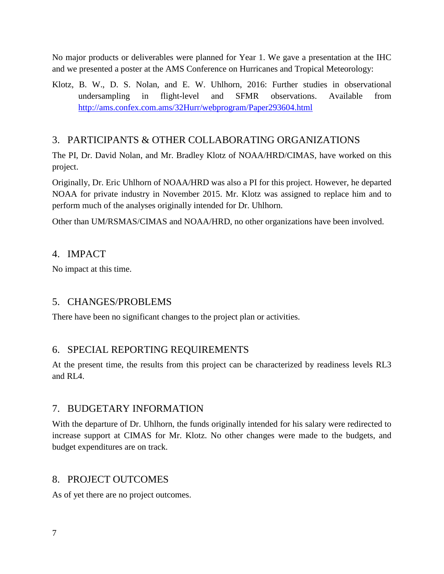No major products or deliverables were planned for Year 1. We gave a presentation at the IHC and we presented a poster at the AMS Conference on Hurricanes and Tropical Meteorology:

Klotz, B. W., D. S. Nolan, and E. W. Uhlhorn, 2016: Further studies in observational undersampling in flight-level and SFMR observations. Available from <http://ams.confex.com.ams/32Hurr/webprogram/Paper293604.html>

# 3. PARTICIPANTS & OTHER COLLABORATING ORGANIZATIONS

The PI, Dr. David Nolan, and Mr. Bradley Klotz of NOAA/HRD/CIMAS, have worked on this project.

Originally, Dr. Eric Uhlhorn of NOAA/HRD was also a PI for this project. However, he departed NOAA for private industry in November 2015. Mr. Klotz was assigned to replace him and to perform much of the analyses originally intended for Dr. Uhlhorn.

Other than UM/RSMAS/CIMAS and NOAA/HRD, no other organizations have been involved.

## 4. IMPACT

No impact at this time.

# 5. CHANGES/PROBLEMS

There have been no significant changes to the project plan or activities.

# 6. SPECIAL REPORTING REQUIREMENTS

At the present time, the results from this project can be characterized by readiness levels RL3 and  $RIA$ .

## 7. BUDGETARY INFORMATION

With the departure of Dr. Uhlhorn, the funds originally intended for his salary were redirected to increase support at CIMAS for Mr. Klotz. No other changes were made to the budgets, and budget expenditures are on track.

# 8. PROJECT OUTCOMES

As of yet there are no project outcomes.